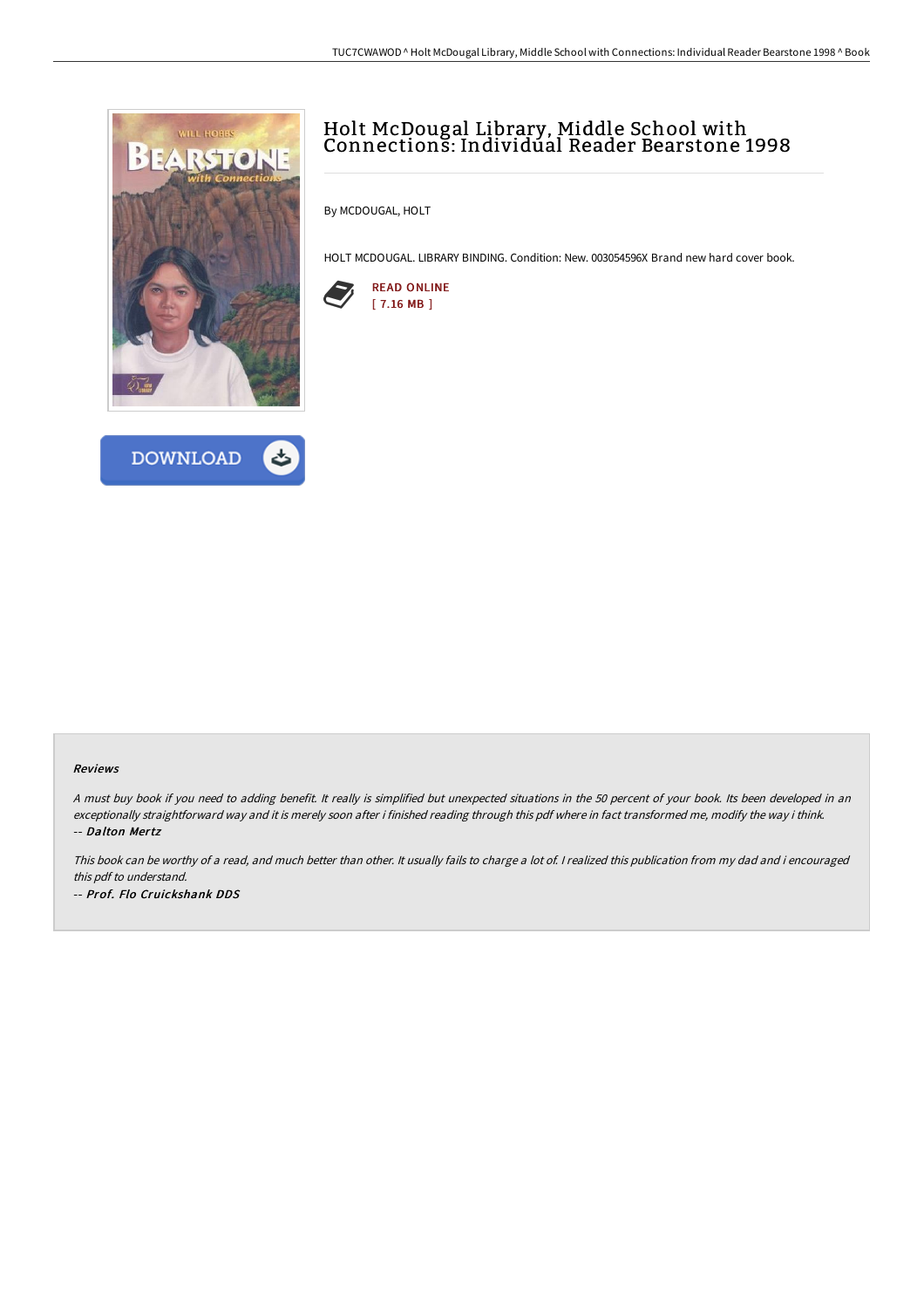



## Holt McDougal Library, Middle School with Connections: Individual Reader Bearstone 1998

By MCDOUGAL, HOLT

HOLT MCDOUGAL. LIBRARY BINDING. Condition: New. 003054596X Brand new hard cover book.



## Reviews

<sup>A</sup> must buy book if you need to adding benefit. It really is simplified but unexpected situations in the <sup>50</sup> percent of your book. Its been developed in an exceptionally straightforward way and it is merely soon after i finished reading through this pdf where in fact transformed me, modify the way i think. -- Dalton Mertz

This book can be worthy of <sup>a</sup> read, and much better than other. It usually fails to charge <sup>a</sup> lot of. <sup>I</sup> realized this publication from my dad and i encouraged this pdf to understand. -- Prof. Flo Cruickshank DDS